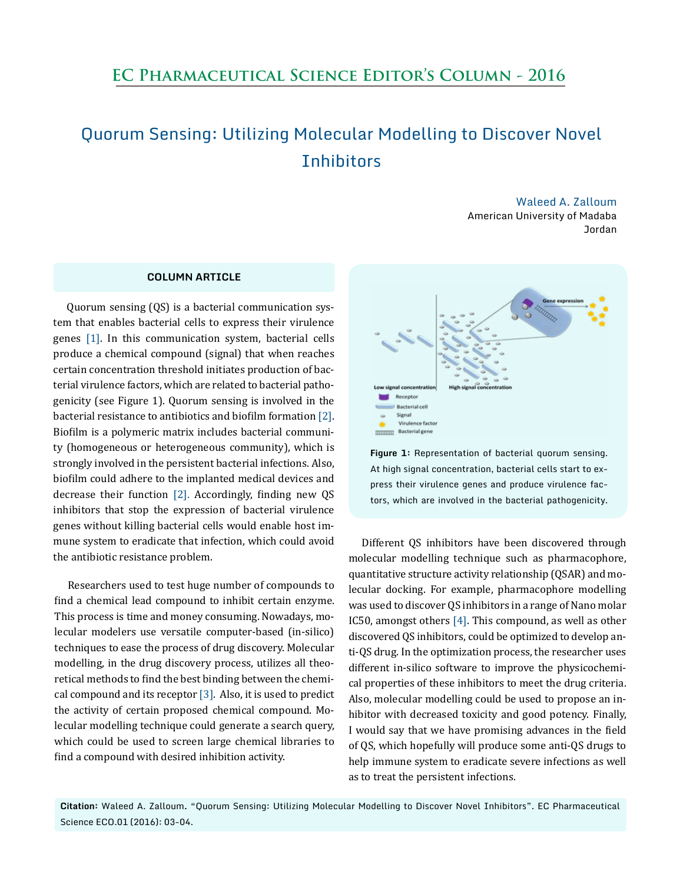## **EC Pharmaceutical Science Editor's Column - 2016**

## Quorum Sensing: Utilizing Molecular Modelling to Discover Novel **Inhibitors**

Waleed A. Zalloum American University of Madaba Jordan

## **COLUMN ARTICLE**

Quorum sensing (QS) is a bacterial communication system that enables bacterial cells to express their virulence genes [1]. In this communication system, bacterial cells produce a chemical compound (signal) that when reaches certain concentration threshold initiates production of bacterial virulence factors, which are related to bacterial pathogenicity (see Figure 1). Quorum sensing is involved in the bacterial resistance to antibiotics and biofilm formation [2]. Biofilm is a polymeric matrix includes bacterial community (homogeneous or heterogeneous community), which is strongly involved in the persistent bacterial infections. Also, biofilm could adhere to the implanted medical devices and decrease their function [2]. Accordingly, finding new QS inhibitors that stop the expression of bacterial virulence genes without killing bacterial cells would enable host immune system to eradicate that infection, which could avoid the antibiotic resistance problem.

Researchers used to test huge number of compounds to find a chemical lead compound to inhibit certain enzyme. This process is time and money consuming. Nowadays, molecular modelers use versatile computer-based (in-silico) techniques to ease the process of drug discovery. Molecular modelling, in the drug discovery process, utilizes all theoretical methods to find the best binding between the chemical compound and its receptor  $[3]$ . Also, it is used to predict the activity of certain proposed chemical compound. Molecular modelling technique could generate a search query, which could be used to screen large chemical libraries to find a compound with desired inhibition activity.



**Figure 1:** Representation of bacterial quorum sensing. At high signal concentration, bacterial cells start to express their virulence genes and produce virulence factors, which are involved in the bacterial pathogenicity.

Different QS inhibitors have been discovered through molecular modelling technique such as pharmacophore, quantitative structure activity relationship (QSAR) and molecular docking. For example, pharmacophore modelling was used to discover QS inhibitors in a range of Nano molar IC50, amongst others [4]. This compound, as well as other discovered QS inhibitors, could be optimized to develop anti-QS drug. In the optimization process, the researcher uses different in-silico software to improve the physicochemical properties of these inhibitors to meet the drug criteria. Also, molecular modelling could be used to propose an inhibitor with decreased toxicity and good potency. Finally, I would say that we have promising advances in the field of QS, which hopefully will produce some anti-QS drugs to help immune system to eradicate severe infections as well as to treat the persistent infections.

**Citation:** Waleed A. Zalloum. "Quorum Sensing: Utilizing Molecular Modelling to Discover Novel Inhibitors". EC Pharmaceutical Science ECO.01 (2016): 03-04.